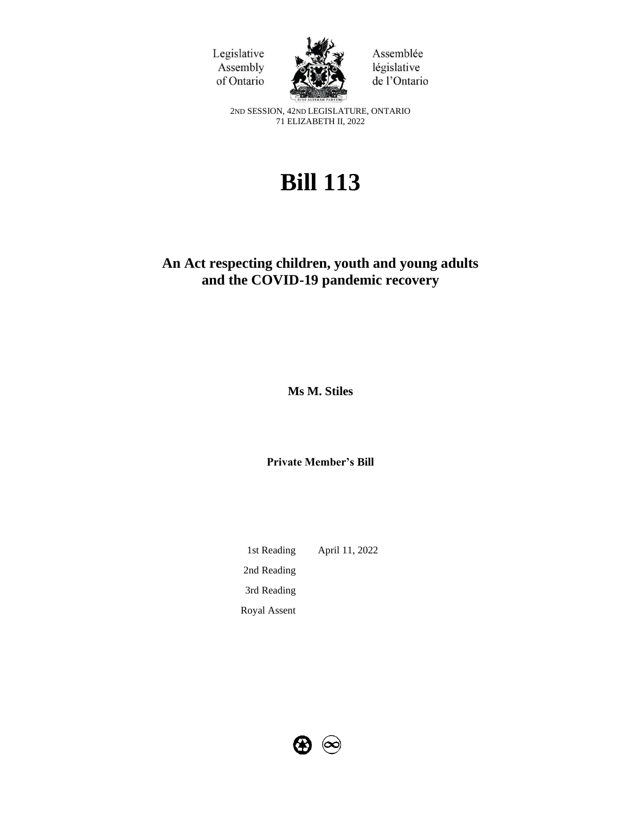



Assemblée législative de l'Ontario

2ND SESSION, 42ND LEGISLATURE, ONTARIO 71 ELIZABETH II, 2022

# **Bill 113**

# **An Act respecting children, youth and young adults and the COVID-19 pandemic recovery**

**Ms M. Stiles** 

**Private Member's Bill**

1st Reading April 11, 2022 2nd Reading 3rd Reading Royal Assent

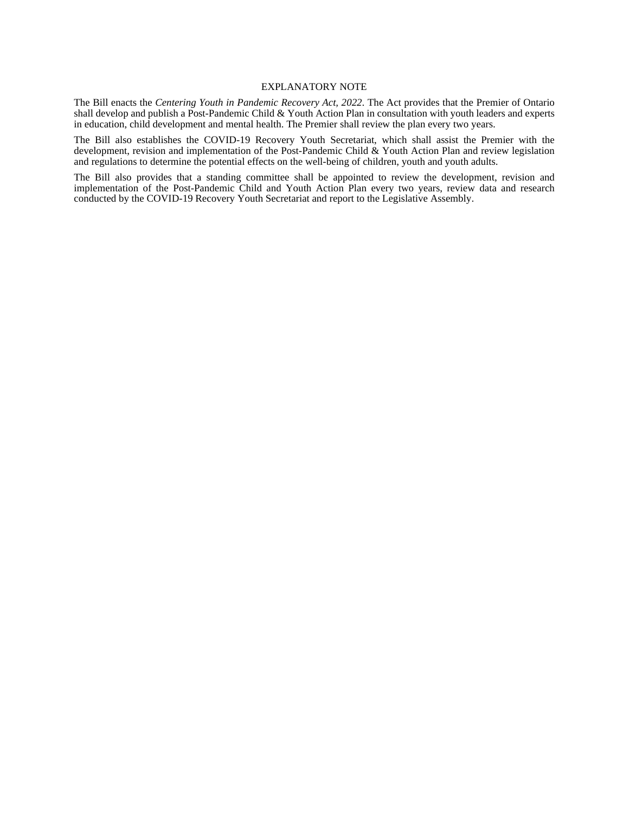#### EXPLANATORY NOTE

The Bill enacts the *Centering Youth in Pandemic Recovery Act, 2022*. The Act provides that the Premier of Ontario shall develop and publish a Post-Pandemic Child & Youth Action Plan in consultation with youth leaders and experts in education, child development and mental health. The Premier shall review the plan every two years.

The Bill also establishes the COVID-19 Recovery Youth Secretariat, which shall assist the Premier with the development, revision and implementation of the Post-Pandemic Child & Youth Action Plan and review legislation and regulations to determine the potential effects on the well-being of children, youth and youth adults.

The Bill also provides that a standing committee shall be appointed to review the development, revision and implementation of the Post-Pandemic Child and Youth Action Plan every two years, review data and research conducted by the COVID-19 Recovery Youth Secretariat and report to the Legislative Assembly.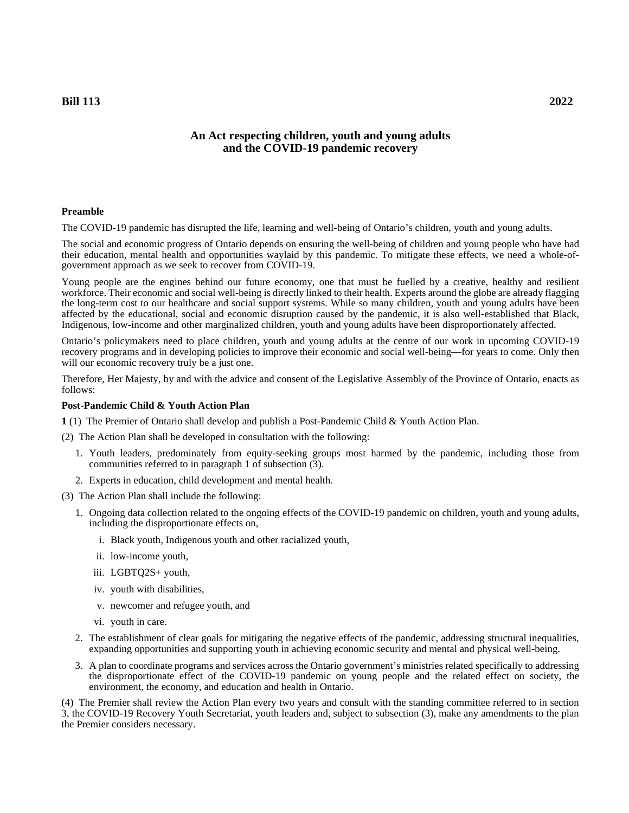# **An Act respecting children, youth and young adults and the COVID-19 pandemic recovery**

#### **Preamble**

The COVID-19 pandemic has disrupted the life, learning and well-being of Ontario's children, youth and young adults.

The social and economic progress of Ontario depends on ensuring the well-being of children and young people who have had their education, mental health and opportunities waylaid by this pandemic. To mitigate these effects, we need a whole-ofgovernment approach as we seek to recover from COVID-19.

Young people are the engines behind our future economy, one that must be fuelled by a creative, healthy and resilient workforce. Their economic and social well-being is directly linked to their health. Experts around the globe are already flagging the long-term cost to our healthcare and social support systems. While so many children, youth and young adults have been affected by the educational, social and economic disruption caused by the pandemic, it is also well-established that Black, Indigenous, low-income and other marginalized children, youth and young adults have been disproportionately affected.

Ontario's policymakers need to place children, youth and young adults at the centre of our work in upcoming COVID-19 recovery programs and in developing policies to improve their economic and social well-being—for years to come. Only then will our economic recovery truly be a just one.

Therefore, Her Majesty, by and with the advice and consent of the Legislative Assembly of the Province of Ontario, enacts as follows:

#### **Post-Pandemic Child & Youth Action Plan**

**1** (1) The Premier of Ontario shall develop and publish a Post-Pandemic Child & Youth Action Plan.

(2) The Action Plan shall be developed in consultation with the following:

- 1. Youth leaders, predominately from equity-seeking groups most harmed by the pandemic, including those from communities referred to in paragraph 1 of subsection (3).
- 2. Experts in education, child development and mental health.
- (3) The Action Plan shall include the following:
	- 1. Ongoing data collection related to the ongoing effects of the COVID-19 pandemic on children, youth and young adults, including the disproportionate effects on,
		- i. Black youth, Indigenous youth and other racialized youth,
		- ii. low-income youth,
		- iii. LGBTQ2S+ youth,
		- iv. youth with disabilities,
		- v. newcomer and refugee youth, and
		- vi. youth in care.
	- 2. The establishment of clear goals for mitigating the negative effects of the pandemic, addressing structural inequalities, expanding opportunities and supporting youth in achieving economic security and mental and physical well-being.
	- 3. A plan to coordinate programs and services across the Ontario government's ministries related specifically to addressing the disproportionate effect of the COVID-19 pandemic on young people and the related effect on society, the environment, the economy, and education and health in Ontario.

(4) The Premier shall review the Action Plan every two years and consult with the standing committee referred to in section 3, the COVID-19 Recovery Youth Secretariat, youth leaders and, subject to subsection (3), make any amendments to the plan the Premier considers necessary.